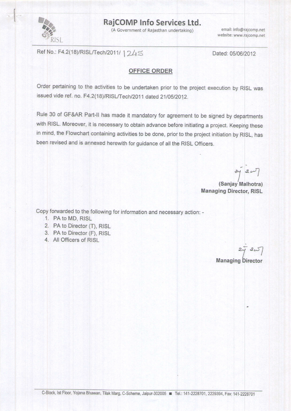

g

## RajCOMP Info Services Ltd.

(A Government of Rajasthan undertaking)

website: www.rajcomp.net email: info@rajcomp.net

Ref No.: F4.2(18)/RISL/Tech/2011/ 1245

Dated: 05/06/2012

## OFFICE ORDER

Order pertaining to the activities to be undertaken prior to the project execution by RISL was issued vide ref. no. F4.2(18)/RISL/Tech/2011 dated 21/05/2012.

Rule 30 of GF&AR Part-II has made it mandatory for agreement to be signed by departments with RISL. Moreover, it is necessary to obtain advance before initiating a project. Keeping these in mind, the Flowchart containing activities to be done, prior to the project initiation by RISL, has been revised and is annexed herewith for guidance of all the RlsL officers.

 $3420$ 

**Managing Director, RISL** (Sanjay Malhotra)

copy forwarded to the following for information and necessary action: -

- 1. PA to MD, RISL
- 2. PA to Director (T), RISL
- 3. PA to Director (F), RISL
- 4. All Officers of R|SL

**Managing Director**  $242$